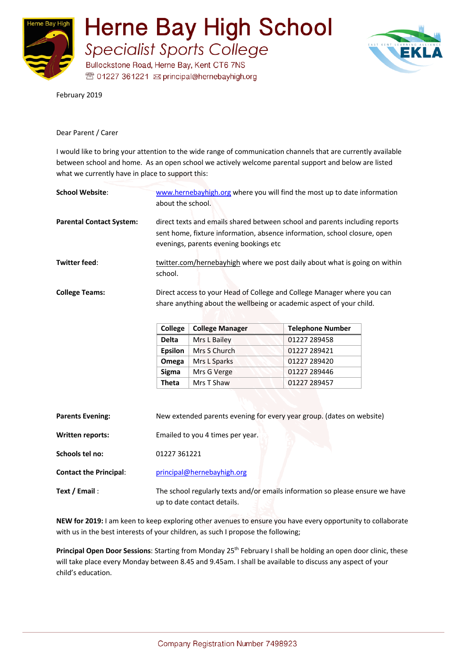

**Herne Bay High School Specialist Sports College** 

Bullockstone Road, Herne Bay, Kent CT6 7NS <sup>38</sup> 01227 361221 ⊠ principal@hernebayhigh.org



February 2019

## Dear Parent / Carer

I would like to bring your attention to the wide range of communication channels that are currently available between school and home. As an open school we actively welcome parental support and below are listed what we currently have in place to support this:

| <b>School Website:</b>          | www.hernebayhigh.org where you will find the most up to date information<br>about the school.                                                                                                      |  |
|---------------------------------|----------------------------------------------------------------------------------------------------------------------------------------------------------------------------------------------------|--|
| <b>Parental Contact System:</b> | direct texts and emails shared between school and parents including reports<br>sent home, fixture information, absence information, school closure, open<br>evenings, parents evening bookings etc |  |
| Twitter feed:                   | twitter.com/hernebayhigh where we post daily about what is going on within<br>school.                                                                                                              |  |
| <b>College Teams:</b>           | Direct access to your Head of College and College Manager where you can<br>share anything about the wellbeing or academic aspect of your child.<br>Collogo<br>College Manager<br>Talanhong Numhar  |  |

| College        | <b>College Manager</b> | <b>Telephone Number</b> |
|----------------|------------------------|-------------------------|
| <b>Delta</b>   | Mrs L Bailey           | 01227 289458            |
| <b>Epsilon</b> | Mrs S Church           | 01227 289421            |
| Omega          | Mrs L Sparks           | 01227 289420            |
| Sigma          | Mrs G Verge            | 01227 289446            |
| Theta          | Mrs T Shaw             | 01227 289457            |

| <b>Parents Evening:</b>       | New extended parents evening for every year group. (dates on website)                                        |  |
|-------------------------------|--------------------------------------------------------------------------------------------------------------|--|
| Written reports:              | Emailed to you 4 times per year.                                                                             |  |
| Schools tel no:               | 01227 361221                                                                                                 |  |
| <b>Contact the Principal:</b> | principal@hernebayhigh.org                                                                                   |  |
| Text / Email:                 | The school regularly texts and/or emails information so please ensure we have<br>up to date contact details. |  |

**NEW for 2019:** I am keen to keep exploring other avenues to ensure you have every opportunity to collaborate with us in the best interests of your children, as such I propose the following;

**Principal Open Door Sessions**: Starting from Monday 25<sup>th</sup> February I shall be holding an open door clinic, these will take place every Monday between 8.45 and 9.45am. I shall be available to discuss any aspect of your child's education.